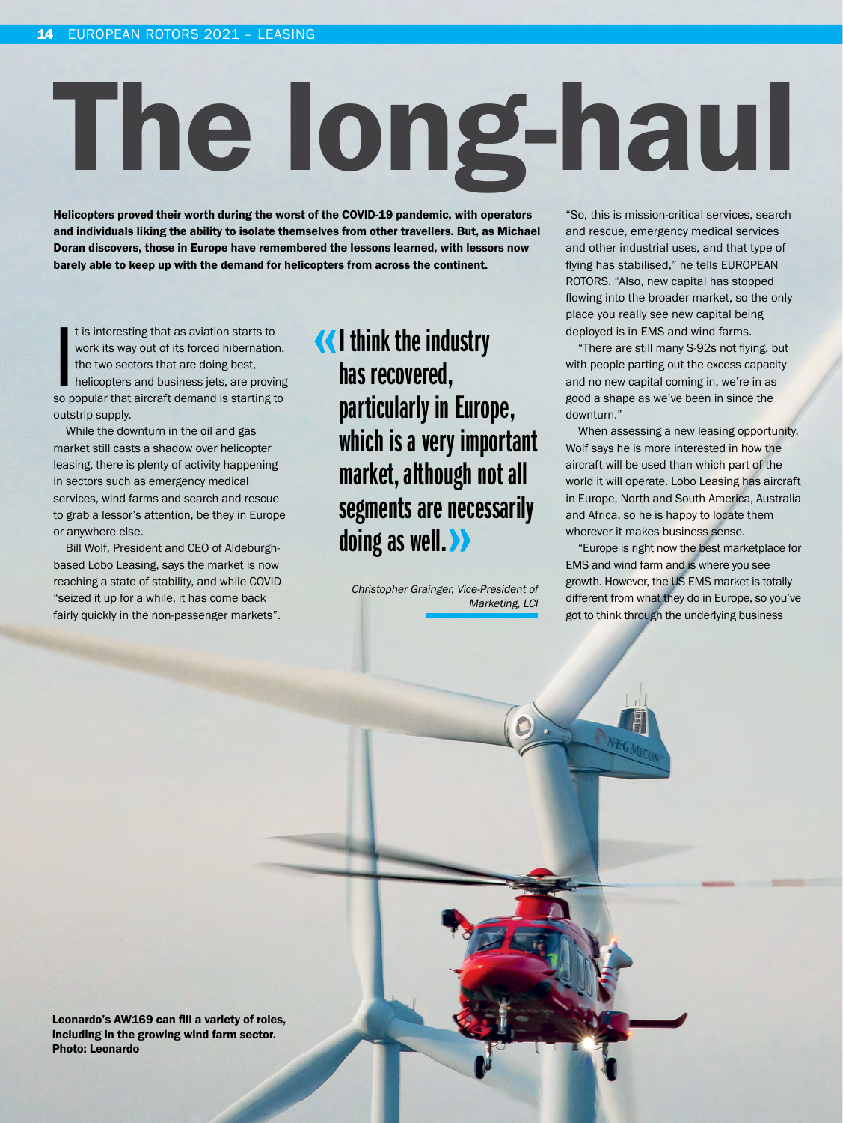# The long-haul

Helicopters proved their worth during the worst of the COVID-19 pandemic, with operators and individuals liking the ability to isolate themselves from other travellers. But, as Michael Doran discovers, those in Europe have remembered the lessons learned, with lessors now barely able to keep up with the demand for helicopters from across the continent.

It is interesting that as aviation starts to<br>work its way out of its forced hibernation,<br>the two sectors that are doing best,<br>helicopters and business jets, are proving<br>so popular that aircraft demand is starting to t is interesting that as aviation starts to work its way out of its forced hibernation, the two sectors that are doing best, helicopters and business jets, are proving outstrip supply.

While the downturn in the oil and gas market still casts a shadow over helicopter leasing, there is plenty of activity happening in sectors such as emergency medical services, wind farms and search and rescue to grab a lessor's attention, be they in Europe or anywhere else.

Bill Wolf, President and CEO of Aldeburghbased Lobo Leasing, says the market is now reaching a state of stability, and while COVID "seized it up for a while, it has come back fairly quickly in the non-passenger markets".

## I think the industry has recovered, particularly in Europe, which is a very important market, although not all segments are necessarily doing as well. >>

Christopher Grainger, Vice-President of Marketing, LCI "So, this is mission-critical services, search and rescue, emergency medical services and other industrial uses, and that type of flying has stabilised," he tells EUROPEAN ROTORS. "Also, new capital has stopped flowing into the broader market, so the only place you really see new capital being deployed is in EMS and wind farms.

"There are still many S-92s not flying, but with people parting out the excess capacity and no new capital coming in, we're in as good a shape as we've been in since the downturn."

When assessing a new leasing opportunity, Wolf says he is more interested in how the aircraft will be used than which part of the world it will operate. Lobo Leasing has aircraft in Europe, North and South America, Australia and Africa, so he is happy to locate them wherever it makes business sense.

"Europe is right now the best marketplace for EMS and wind farm and is where you see growth. However, the US EMS market is totally different from what they do in Europe, so you've got to think through the underlying business

Leonardo's AW169 can fill a variety of roles, including in the growing wind farm sector. Photo: Leonardo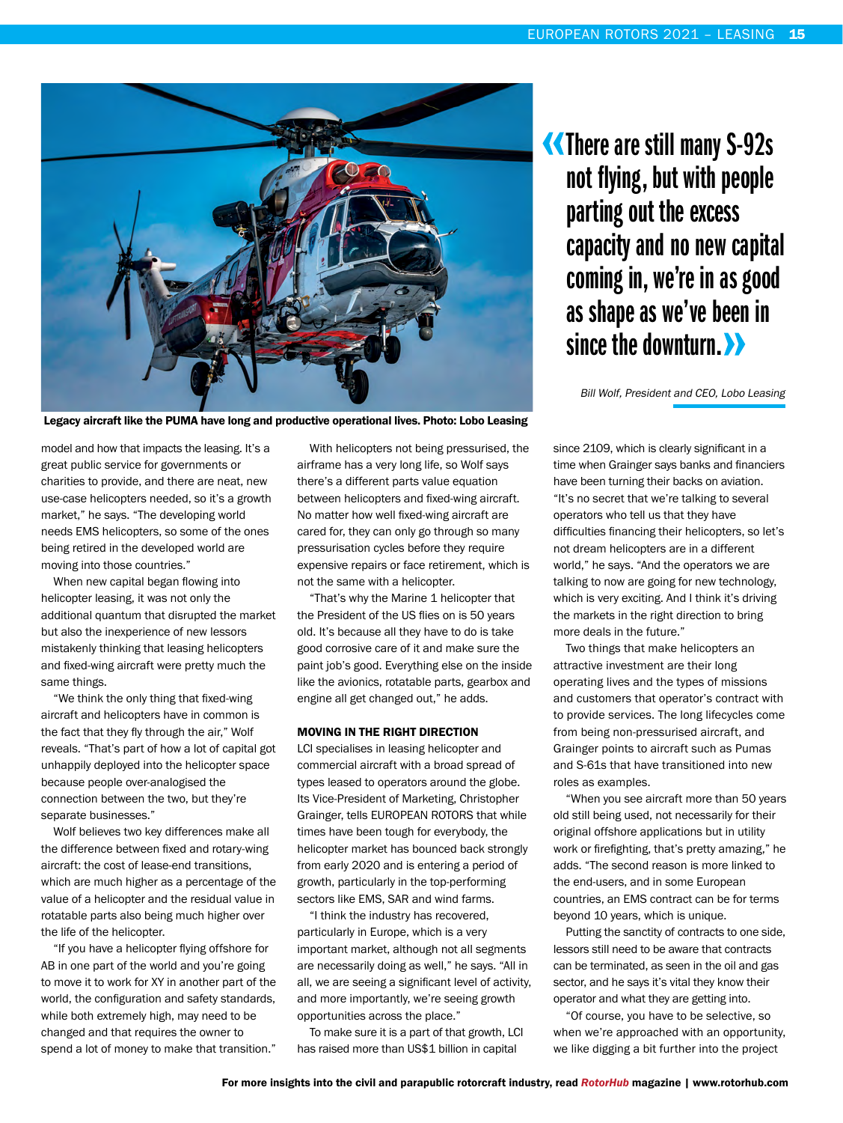

Legacy aircraft like the PUMA have long and productive operational lives. Photo: Lobo Leasing

model and how that impacts the leasing. It's a great public service for governments or charities to provide, and there are neat, new use-case helicopters needed, so it's a growth market," he says. "The developing world needs EMS helicopters, so some of the ones being retired in the developed world are moving into those countries."

When new capital began flowing into helicopter leasing, it was not only the additional quantum that disrupted the market but also the inexperience of new lessors mistakenly thinking that leasing helicopters and fixed-wing aircraft were pretty much the same things.

"We think the only thing that fixed-wing aircraft and helicopters have in common is the fact that they fly through the air," Wolf reveals. "That's part of how a lot of capital got unhappily deployed into the helicopter space because people over-analogised the connection between the two, but they're separate businesses."

Wolf believes two key differences make all the difference between fixed and rotary-wing aircraft: the cost of lease-end transitions, which are much higher as a percentage of the value of a helicopter and the residual value in rotatable parts also being much higher over the life of the helicopter.

"If you have a helicopter flying offshore for AB in one part of the world and you're going to move it to work for XY in another part of the world, the configuration and safety standards, while both extremely high, may need to be changed and that requires the owner to spend a lot of money to make that transition."

With helicopters not being pressurised, the airframe has a very long life, so Wolf says there's a different parts value equation between helicopters and fixed-wing aircraft. No matter how well fixed-wing aircraft are cared for, they can only go through so many pressurisation cycles before they require expensive repairs or face retirement, which is not the same with a helicopter.

"That's why the Marine 1 helicopter that the President of the US flies on is 50 years old. It's because all they have to do is take good corrosive care of it and make sure the paint job's good. Everything else on the inside like the avionics, rotatable parts, gearbox and engine all get changed out," he adds.

### MOVING IN THE RIGHT DIRECTION

LCI specialises in leasing helicopter and commercial aircraft with a broad spread of types leased to operators around the globe. Its Vice-President of Marketing, Christopher Grainger, tells EUROPEAN ROTORS that while times have been tough for everybody, the helicopter market has bounced back strongly from early 2020 and is entering a period of growth, particularly in the top-performing sectors like EMS, SAR and wind farms.

"I think the industry has recovered, particularly in Europe, which is a very important market, although not all segments are necessarily doing as well," he says. "All in all, we are seeing a significant level of activity, and more importantly, we're seeing growth opportunities across the place."

To make sure it is a part of that growth, LCI has raised more than US\$1 billion in capital

There are still many S-92s not flying, but with people parting out the excess capacity and no new capital coming in, we're in as good as shape as we've been in since the downturn.

Bill Wolf, President and CEO, Lobo Leasing

since 2109, which is clearly significant in a time when Grainger says banks and financiers have been turning their backs on aviation. "It's no secret that we're talking to several operators who tell us that they have difficulties financing their helicopters, so let's not dream helicopters are in a different world," he says. "And the operators we are talking to now are going for new technology, which is very exciting. And I think it's driving the markets in the right direction to bring more deals in the future."

Two things that make helicopters an attractive investment are their long operating lives and the types of missions and customers that operator's contract with to provide services. The long lifecycles come from being non-pressurised aircraft, and Grainger points to aircraft such as Pumas and S-61s that have transitioned into new roles as examples.

"When you see aircraft more than 50 years old still being used, not necessarily for their original offshore applications but in utility work or firefighting, that's pretty amazing," he adds. "The second reason is more linked to the end-users, and in some European countries, an EMS contract can be for terms beyond 10 years, which is unique.

Putting the sanctity of contracts to one side, lessors still need to be aware that contracts can be terminated, as seen in the oil and gas sector, and he says it's vital they know their operator and what they are getting into.

"Of course, you have to be selective, so when we're approached with an opportunity, we like digging a bit further into the project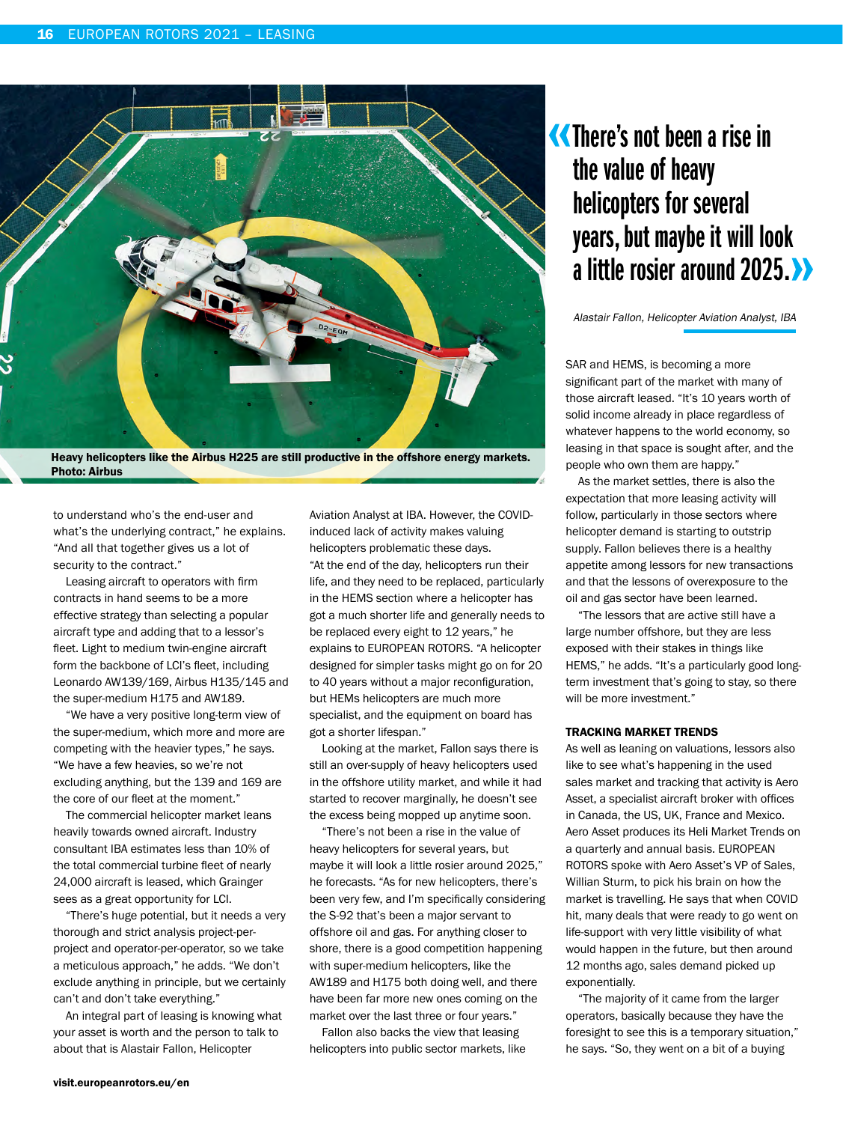

Heavy helicopters like the Airbus H225 are still productive in the offshore energy markets. Photo: Airbus

to understand who's the end-user and what's the underlying contract," he explains. "And all that together gives us a lot of security to the contract."

Leasing aircraft to operators with firm contracts in hand seems to be a more effective strategy than selecting a popular aircraft type and adding that to a lessor's fleet. Light to medium twin-engine aircraft form the backbone of LCI's fleet, including Leonardo AW139/169, Airbus H135/145 and the super-medium H175 and AW189.

"We have a very positive long-term view of the super-medium, which more and more are competing with the heavier types," he says. "We have a few heavies, so we're not excluding anything, but the 139 and 169 are the core of our fleet at the moment."

The commercial helicopter market leans heavily towards owned aircraft. Industry consultant IBA estimates less than 10% of the total commercial turbine fleet of nearly 24,000 aircraft is leased, which Grainger sees as a great opportunity for LCI.

"There's huge potential, but it needs a very thorough and strict analysis project-perproject and operator-per-operator, so we take a meticulous approach," he adds. "We don't exclude anything in principle, but we certainly can't and don't take everything."

An integral part of leasing is knowing what your asset is worth and the person to talk to about that is Alastair Fallon, Helicopter

Aviation Analyst at IBA. However, the COVIDinduced lack of activity makes valuing helicopters problematic these days. "At the end of the day, helicopters run their life, and they need to be replaced, particularly in the HEMS section where a helicopter has got a much shorter life and generally needs to be replaced every eight to 12 years," he explains to EUROPEAN ROTORS. "A helicopter designed for simpler tasks might go on for 20 to 40 years without a major reconfiguration, but HEMs helicopters are much more specialist, and the equipment on board has got a shorter lifespan."

Looking at the market, Fallon says there is still an over-supply of heavy helicopters used in the offshore utility market, and while it had started to recover marginally, he doesn't see the excess being mopped up anytime soon.

"There's not been a rise in the value of heavy helicopters for several years, but maybe it will look a little rosier around 2025," he forecasts. "As for new helicopters, there's been very few, and I'm specifically considering the S-92 that's been a major servant to offshore oil and gas. For anything closer to shore, there is a good competition happening with super-medium helicopters, like the AW189 and H175 both doing well, and there have been far more new ones coming on the market over the last three or four years."

Fallon also backs the view that leasing helicopters into public sector markets, like

## There's not been a rise in the value of heavy helicopters for several years, but maybe it will look a little rosier around 2025.

Alastair Fallon, Helicopter Aviation Analyst, IBA

SAR and HEMS, is becoming a more significant part of the market with many of those aircraft leased. "It's 10 years worth of solid income already in place regardless of whatever happens to the world economy, so leasing in that space is sought after, and the people who own them are happy."

As the market settles, there is also the expectation that more leasing activity will follow, particularly in those sectors where helicopter demand is starting to outstrip supply. Fallon believes there is a healthy appetite among lessors for new transactions and that the lessons of overexposure to the oil and gas sector have been learned.

"The lessors that are active still have a large number offshore, but they are less exposed with their stakes in things like HEMS," he adds. "It's a particularly good longterm investment that's going to stay, so there will be more investment."

#### TRACKING MARKET TRENDS

As well as leaning on valuations, lessors also like to see what's happening in the used sales market and tracking that activity is Aero Asset, a specialist aircraft broker with offices in Canada, the US, UK, France and Mexico. Aero Asset produces its Heli Market Trends on a quarterly and annual basis. EUROPEAN ROTORS spoke with Aero Asset's VP of Sales, Willian Sturm, to pick his brain on how the market is travelling. He says that when COVID hit, many deals that were ready to go went on life-support with very little visibility of what would happen in the future, but then around 12 months ago, sales demand picked up exponentially.

"The majority of it came from the larger operators, basically because they have the foresight to see this is a temporary situation," he says. "So, they went on a bit of a buying